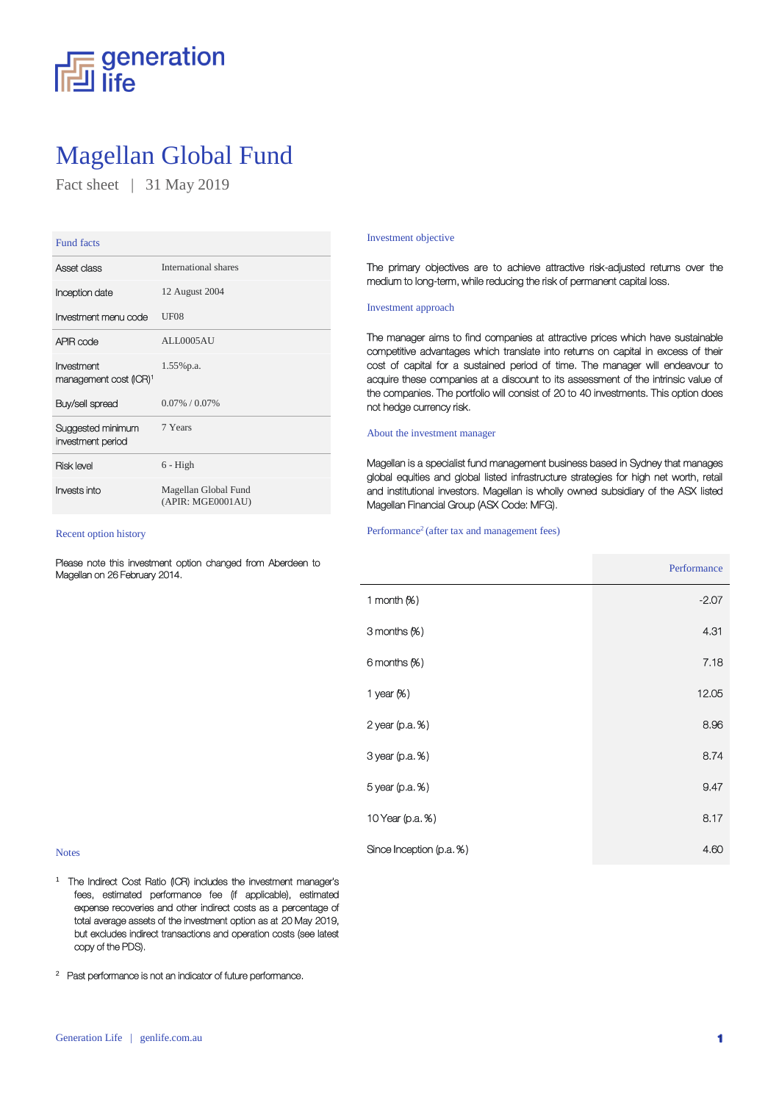

# Magellan Global Fund

Fact sheet | 31 May 2019

| <b>Fund facts</b>                                |                                           |
|--------------------------------------------------|-------------------------------------------|
| Asset class                                      | International shares                      |
| Inception date                                   | 12 August 2004                            |
| Investment menu code                             | UF08                                      |
| APIR code                                        | ALL0005AU                                 |
| Investment<br>management cost (ICR) <sup>1</sup> | $1.55\%$ p.a.                             |
| Buy/sell spread                                  | $0.07\% / 0.07\%$                         |
| Suggested minimum<br>investment period           | 7 Years                                   |
| <b>Risk level</b>                                | $6 - High$                                |
| Invests into                                     | Magellan Global Fund<br>(APIR: MGE0001AU) |

Recent option history

Please note this investment option changed from Aberdeen to Magellan on 26 February 2014.

### Investment objective

The primary objectives are to achieve attractive risk-adjusted returns over the medium to long-term, while reducing the risk of permanent capital loss.

# Investment approach

The manager aims to find companies at attractive prices which have sustainable competitive advantages which translate into returns on capital in excess of their cost of capital for a sustained period of time. The manager will endeavour to acquire these companies at a discount to its assessment of the intrinsic value of the companies. The portfolio will consist of 20 to 40 investments. This option does not hedge currency risk.

## About the investment manager

Magellan is a specialist fund management business based in Sydney that manages global equities and global listed infrastructure strategies for high net worth, retail and institutional investors. Magellan is wholly owned subsidiary of the ASX listed Magellan Financial Group (ASX Code: MFG).

#### Performance<sup>2</sup> (after tax and management fees)

|                          | Performance |
|--------------------------|-------------|
| 1 month $(X)$            | $-2.07$     |
| 3 months (%)             | 4.31        |
| $6$ months $%$ )         | 7.18        |
| 1 year $(X)$             | 12.05       |
| 2 year (p.a. %)          | 8.96        |
| 3 year (p.a. %)          | 8.74        |
| 5 year (p.a. %)          | 9.47        |
| 10 Year (p.a. %)         | 8.17        |
| Since Inception (p.a. %) | 4.60        |

### Notes

<sup>1</sup> The Indirect Cost Ratio (ICR) includes the investment manager's fees, estimated performance fee (if applicable), estimated expense recoveries and other indirect costs as a percentage of total average assets of the investment option as at 20 May 2019, but excludes indirect transactions and operation costs (see latest copy of the PDS).

2 Past performance is not an indicator of future performance.